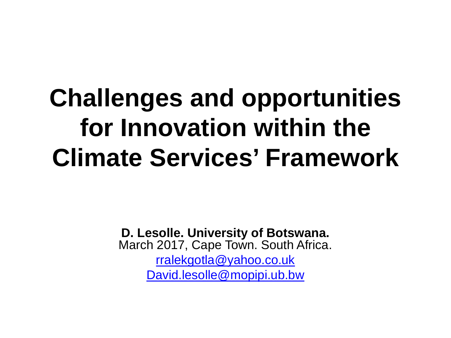#### **Challenges and opportunities for Innovation within the Climate Services' Framework**

**D. Lesolle. University of Botswana.** March 2017, Cape Town. South Africa. [rralekgotla@yahoo.co.uk](mailto:rralekgotla@yahoo.co.uk) [David.lesolle@mopipi.ub.bw](mailto:David.lesolle@mopipi.ub.bw)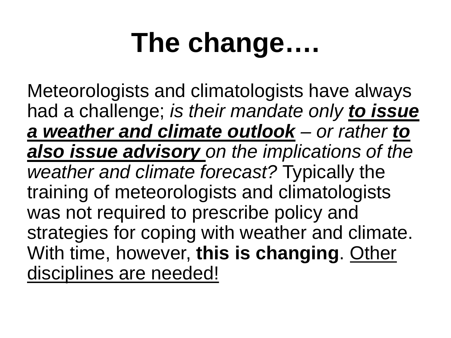## **The change….**

Meteorologists and climatologists have always had a challenge; *is their mandate only to issue a weather and climate outlook – or rather to also issue advisory on the implications of the weather and climate forecast?* Typically the training of meteorologists and climatologists was not required to prescribe policy and strategies for coping with weather and climate. With time, however, **this is changing**. Other disciplines are needed!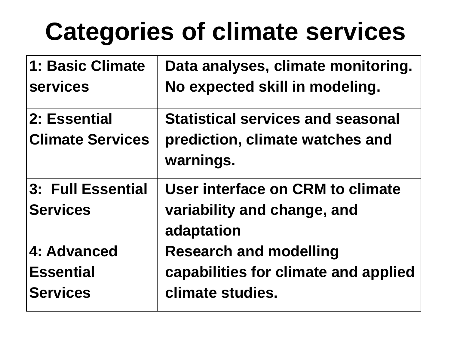### **Categories of climate services**

| 1: Basic Climate        | Data analyses, climate monitoring.       |  |
|-------------------------|------------------------------------------|--|
| <b>services</b>         | No expected skill in modeling.           |  |
| 2: Essential            | <b>Statistical services and seasonal</b> |  |
| <b>Climate Services</b> | prediction, climate watches and          |  |
|                         | warnings.                                |  |
| 3: Full Essential       | User interface on CRM to climate         |  |
| <b>Services</b>         | variability and change, and              |  |
|                         | adaptation                               |  |
| 4: Advanced             | <b>Research and modelling</b>            |  |
| <b>Essential</b>        | capabilities for climate and applied     |  |
| <b>Services</b>         | climate studies.                         |  |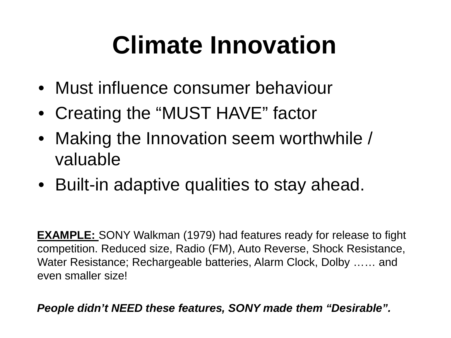### **Climate Innovation**

- Must influence consumer behaviour
- Creating the "MUST HAVE" factor
- Making the Innovation seem worthwhile / valuable
- Built-in adaptive qualities to stay ahead.

**EXAMPLE:** SONY Walkman (1979) had features ready for release to fight competition. Reduced size, Radio (FM), Auto Reverse, Shock Resistance, Water Resistance; Rechargeable batteries, Alarm Clock, Dolby …… and even smaller size!

*People didn't NEED these features, SONY made them "Desirable".*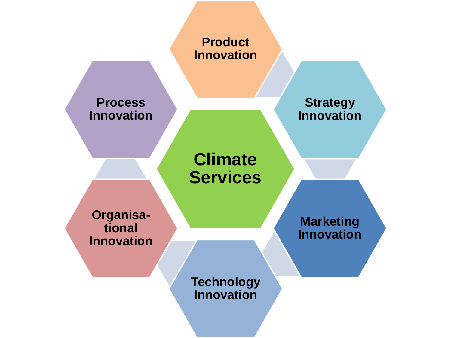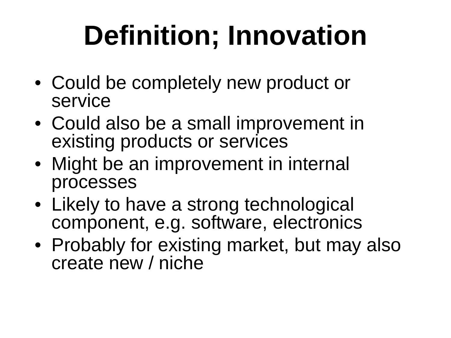# **Definition; Innovation**

- Could be completely new product or service
- Could also be a small improvement in existing products or services
- Might be an improvement in internal processes
- Likely to have a strong technological component, e.g. software, electronics
- Probably for existing market, but may also create new / niche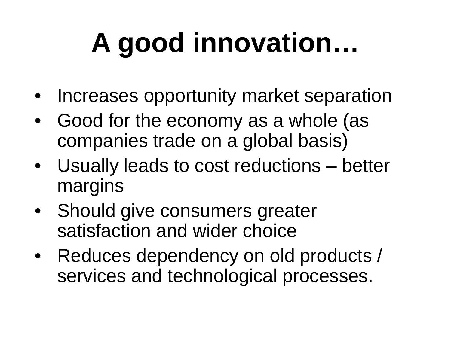# **A good innovation…**

- Increases opportunity market separation
- Good for the economy as a whole (as companies trade on a global basis)
- Usually leads to cost reductions better margins
- Should give consumers greater satisfaction and wider choice
- Reduces dependency on old products / services and technological processes.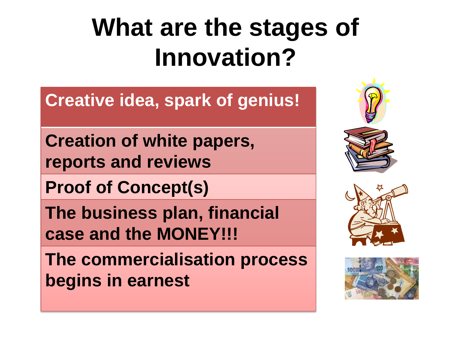#### **What are the stages of Innovation?**

**Creative idea, spark of genius!**

**Creation of white papers, reports and reviews**

**Proof of Concept(s)**

**The business plan, financial case and the MONEY!!!**

**The commercialisation process begins in earnest**





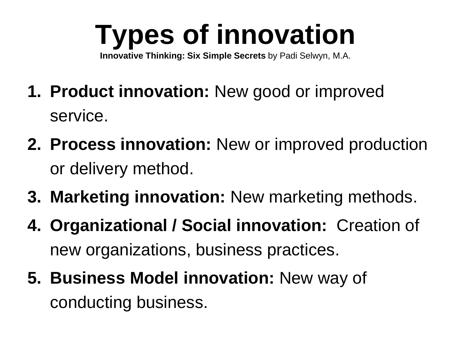# **Types of innovation**

**Innovative Thinking: Six Simple Secrets** by Padi Selwyn, M.A.

- **1. Product innovation:** New good or improved service.
- **2. Process innovation:** New or improved production or delivery method.
- **3. Marketing innovation:** New marketing methods.
- **4. Organizational / Social innovation:** Creation of new organizations, business practices.
- **5. Business Model innovation:** New way of conducting business.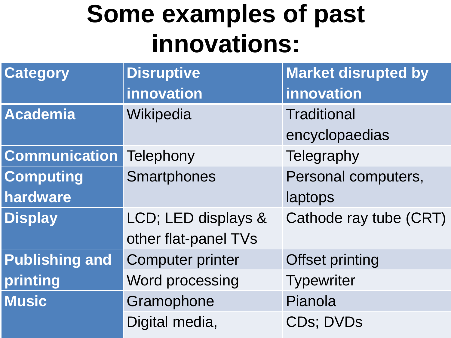#### **Some examples of past innovations:**

| <b>Category</b>       | <b>Disruptive</b>       | <b>Market disrupted by</b> |
|-----------------------|-------------------------|----------------------------|
|                       | innovation              | innovation                 |
| <b>Academia</b>       | Wikipedia               | <b>Traditional</b>         |
|                       |                         | encyclopaedias             |
| <b>Communication</b>  | Telephony               | Telegraphy                 |
| <b>Computing</b>      | Smartphones             | Personal computers,        |
| hardware              |                         | laptops                    |
| <b>Display</b>        | LCD; LED displays &     | Cathode ray tube (CRT)     |
|                       | other flat-panel TVs    |                            |
| <b>Publishing and</b> | <b>Computer printer</b> | <b>Offset printing</b>     |
| printing              | Word processing         | <b>Typewriter</b>          |
| <b>Music</b>          | Gramophone              | Pianola                    |
|                       | Digital media,          | <b>CDs: DVDs</b>           |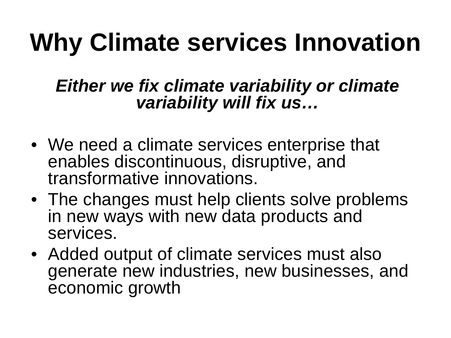#### **Why Climate services Innovation**

#### *Either we fix climate variability or climate variability will fix us…*

- We need a climate services enterprise that enables discontinuous, disruptive, and transformative innovations.
- The changes must help clients solve problems in new ways with new data products and services.
- Added output of climate services must also generate new industries, new businesses, and economic growth